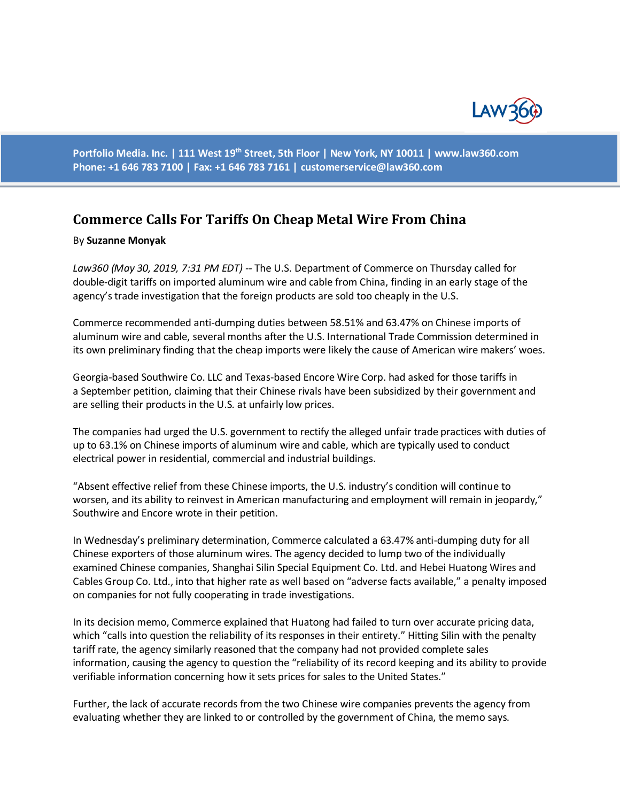

**Portfolio Media. Inc. | 111 West 19th Street, 5th Floor | New York, NY 10011 | www.law360.com Phone: +1 646 783 7100 | Fax: +1 646 783 7161 | [customerservice@law360.com](mailto:customerservice@law360.com)**

## **Commerce Calls For Tariffs On Cheap Metal Wire From China**

## By **Suzanne Monyak**

*Law360 (May 30, 2019, 7:31 PM EDT) --* The U.S. Department of Commerce on Thursday called for double-digit tariffs on imported aluminum wire and cable from China, finding in an early stage of the agency's trade investigation that the foreign products are sold too cheaply in the U.S.

Commerce recommended anti-dumping duties between 58.51% and 63.47% on Chinese imports of aluminum wire and cable, several months after the U.S. International Trade Commission determined in its own preliminary finding that the cheap imports were likely the cause of American wire makers' woes.

Georgia-based Southwire Co. LLC and Texas-based Encore Wire Corp. had asked for those tariffs in a September petition, claiming that their Chinese rivals have been subsidized by their government and are selling their products in the U.S. at unfairly low prices.

The companies had urged the U.S. government to rectify the alleged unfair trade practices with duties of up to 63.1% on Chinese imports of aluminum wire and cable, which are typically used to conduct electrical power in residential, commercial and industrial buildings.

"Absent effective relief from these Chinese imports, the U.S. industry's condition will continue to worsen, and its ability to reinvest in American manufacturing and employment will remain in jeopardy," Southwire and Encore wrote in their petition.

In Wednesday's preliminary determination, Commerce calculated a 63.47% anti-dumping duty for all Chinese exporters of those aluminum wires. The agency decided to lump two of the individually examined Chinese companies, Shanghai Silin Special Equipment Co. Ltd. and Hebei Huatong Wires and Cables Group Co. Ltd., into that higher rate as well based on "adverse facts available," a penalty imposed on companies for not fully cooperating in trade investigations.

In its decision memo, Commerce explained that Huatong had failed to turn over accurate pricing data, which "calls into question the reliability of its responses in their entirety." Hitting Silin with the penalty tariff rate, the agency similarly reasoned that the company had not provided complete sales information, causing the agency to question the "reliability of its record keeping and its ability to provide verifiable information concerning how it sets prices for sales to the United States."

Further, the lack of accurate records from the two Chinese wire companies prevents the agency from evaluating whether they are linked to or controlled by the government of China, the memo says.